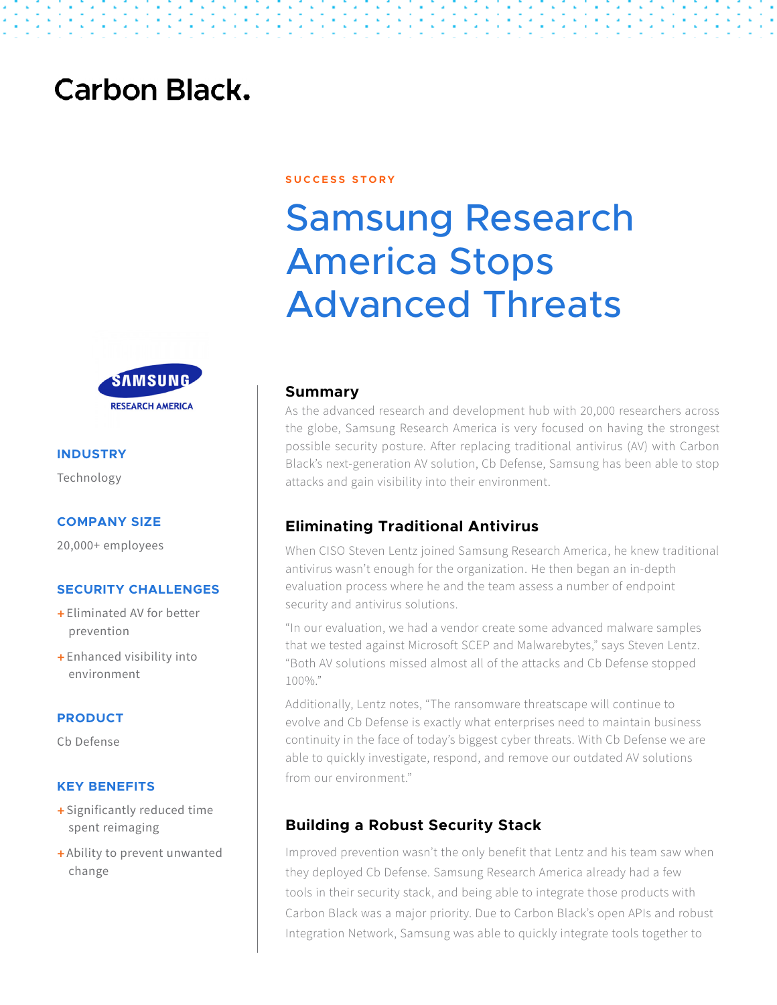# **Carbon Black.**



# **INDUSTRY**

Technology

#### **COMPANY SIZE**

20,000+ employees

### **SECURITY CHALLENGES**

- + Eliminated AV for better prevention
- + Enhanced visibility into environment

### **PRODUCT**

Cb Defense

### **KEY BENEFITS**

- + Significantly reduced time spent reimaging
- + Ability to prevent unwanted change

#### **S U C C E S S S T O R Y**

# Samsung Research America Stops Advanced Threats

## **Summary**

As the advanced research and development hub with 20,000 researchers across the globe, Samsung Research America is very focused on having the strongest possible security posture. After replacing traditional antivirus (AV) with Carbon Black's next-generation AV solution, Cb Defense, Samsung has been able to stop attacks and gain visibility into their environment.

## **Eliminating Traditional Antivirus**

When CISO Steven Lentz joined Samsung Research America, he knew traditional antivirus wasn't enough for the organization. He then began an in-depth evaluation process where he and the team assess a number of endpoint security and antivirus solutions.

"In our evaluation, we had a vendor create some advanced malware samples that we tested against Microsoft SCEP and Malwarebytes," says Steven Lentz. "Both AV solutions missed almost all of the attacks and Cb Defense stopped 100%."

Additionally, Lentz notes, "The ransomware threatscape will continue to evolve and Cb Defense is exactly what enterprises need to maintain business continuity in the face of today's biggest cyber threats. With Cb Defense we are able to quickly investigate, respond, and remove our outdated AV solutions from our environment."

## **Building a Robust Security Stack**

Improved prevention wasn't the only benefit that Lentz and his team saw when they deployed Cb Defense. Samsung Research America already had a few tools in their security stack, and being able to integrate those products with Carbon Black was a major priority. Due to Carbon Black's open APIs and robust Integration Network, Samsung was able to quickly integrate tools together to